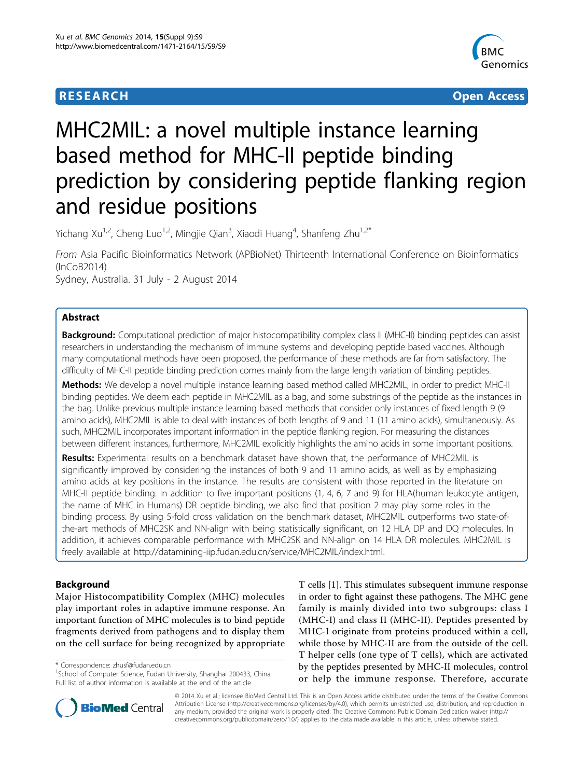# **RESEARCH CONTROL** CONTROL CONTROL CONTROL CONTROL CONTROL CONTROL CONTROL CONTROL CONTROL CONTROL CONTROL CONTROL CONTROL CONTROL CONTROL CONTROL CONTROL CONTROL CONTROL CONTROL CONTROL CONTROL CONTROL CONTROL CONTROL CON



# MHC2MIL: a novel multiple instance learning based method for MHC-II peptide binding prediction by considering peptide flanking region and residue positions

Yichang Xu<sup>1,2</sup>, Cheng Luo<sup>1,2</sup>, Mingjie Qian<sup>3</sup>, Xiaodi Huang<sup>4</sup>, Shanfeng Zhu<sup>1,2\*</sup>

From Asia Pacific Bioinformatics Network (APBioNet) Thirteenth International Conference on Bioinformatics (InCoB2014) Sydney, Australia. 31 July - 2 August 2014

# Abstract

Background: Computational prediction of major histocompatibility complex class II (MHC-II) binding peptides can assist researchers in understanding the mechanism of immune systems and developing peptide based vaccines. Although many computational methods have been proposed, the performance of these methods are far from satisfactory. The difficulty of MHC-II peptide binding prediction comes mainly from the large length variation of binding peptides.

Methods: We develop a novel multiple instance learning based method called MHC2MIL, in order to predict MHC-II binding peptides. We deem each peptide in MHC2MIL as a bag, and some substrings of the peptide as the instances in the bag. Unlike previous multiple instance learning based methods that consider only instances of fixed length 9 (9 amino acids), MHC2MIL is able to deal with instances of both lengths of 9 and 11 (11 amino acids), simultaneously. As such, MHC2MIL incorporates important information in the peptide flanking region. For measuring the distances between different instances, furthermore, MHC2MIL explicitly highlights the amino acids in some important positions.

Results: Experimental results on a benchmark dataset have shown that, the performance of MHC2MIL is significantly improved by considering the instances of both 9 and 11 amino acids, as well as by emphasizing amino acids at key positions in the instance. The results are consistent with those reported in the literature on MHC-II peptide binding. In addition to five important positions (1, 4, 6, 7 and 9) for HLA(human leukocyte antigen, the name of MHC in Humans) DR peptide binding, we also find that position 2 may play some roles in the binding process. By using 5-fold cross validation on the benchmark dataset, MHC2MIL outperforms two state-ofthe-art methods of MHC2SK and NN-align with being statistically significant, on 12 HLA DP and DQ molecules. In addition, it achieves comparable performance with MHC2SK and NN-align on 14 HLA DR molecules. MHC2MIL is freely available at [http://datamining-iip.fudan.edu.cn/service/MHC2MIL/index.html.](http://datamining-iip.fudan.edu.cn/service/MHC2MIL/index.html)

# Background

Major Histocompatibility Complex (MHC) molecules play important roles in adaptive immune response. An important function of MHC molecules is to bind peptide fragments derived from pathogens and to display them on the cell surface for being recognized by appropriate

\* Correspondence: [zhusf@fudan.edu.cn](mailto:zhusf@fudan.edu.cn)

T cells [[1\]](#page-8-0). This stimulates subsequent immune response in order to fight against these pathogens. The MHC gene family is mainly divided into two subgroups: class I (MHC-I) and class II (MHC-II). Peptides presented by MHC-I originate from proteins produced within a cell, while those by MHC-II are from the outside of the cell. T helper cells (one type of T cells), which are activated by the peptides presented by MHC-II molecules, control or help the immune response. Therefore, accurate



© 2014 Xu et al.; licensee BioMed Central Ltd. This is an Open Access article distributed under the terms of the Creative Commons Attribution License [\(http://creativecommons.org/licenses/by/4.0](http://creativecommons.org/licenses/by/4.0)), which permits unrestricted use, distribution, and reproduction in any medium, provided the original work is properly cited. The Creative Commons Public Domain Dedication waiver [\(http://](http://creativecommons.org/publicdomain/zero/1.0/) [creativecommons.org/publicdomain/zero/1.0/](http://creativecommons.org/publicdomain/zero/1.0/)) applies to the data made available in this article, unless otherwise stated.

<sup>&</sup>lt;sup>1</sup>School of Computer Science, Fudan University, Shanghai 200433, China Full list of author information is available at the end of the article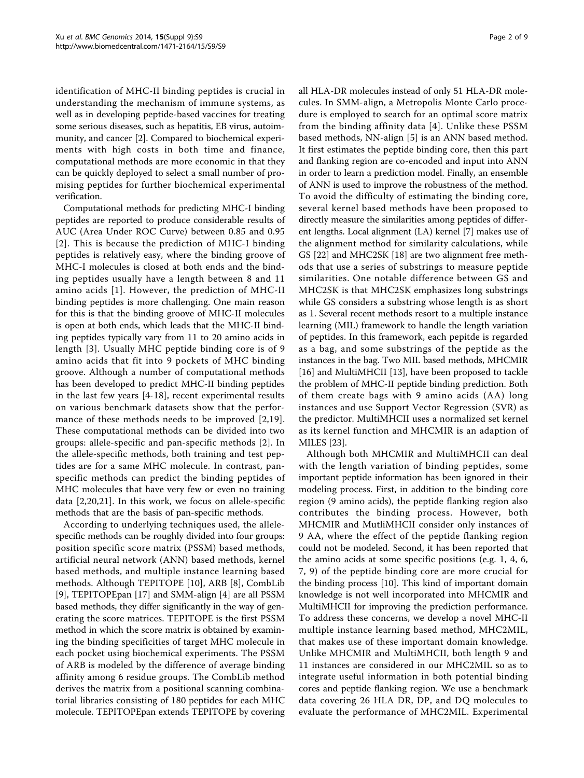identification of MHC-II binding peptides is crucial in understanding the mechanism of immune systems, as well as in developing peptide-based vaccines for treating some serious diseases, such as hepatitis, EB virus, autoimmunity, and cancer [[2\]](#page-8-0). Compared to biochemical experiments with high costs in both time and finance, computational methods are more economic in that they can be quickly deployed to select a small number of promising peptides for further biochemical experimental verification.

Computational methods for predicting MHC-I binding peptides are reported to produce considerable results of AUC (Area Under ROC Curve) between 0.85 and 0.95 [[2](#page-8-0)]. This is because the prediction of MHC-I binding peptides is relatively easy, where the binding groove of MHC-I molecules is closed at both ends and the binding peptides usually have a length between 8 and 11 amino acids [[1](#page-8-0)]. However, the prediction of MHC-II binding peptides is more challenging. One main reason for this is that the binding groove of MHC-II molecules is open at both ends, which leads that the MHC-II binding peptides typically vary from 11 to 20 amino acids in length [[3](#page-8-0)]. Usually MHC peptide binding core is of 9 amino acids that fit into 9 pockets of MHC binding groove. Although a number of computational methods has been developed to predict MHC-II binding peptides in the last few years [\[4](#page-8-0)-[18\]](#page-8-0), recent experimental results on various benchmark datasets show that the performance of these methods needs to be improved [[2](#page-8-0),[19](#page-8-0)]. These computational methods can be divided into two groups: allele-specific and pan-specific methods [[2\]](#page-8-0). In the allele-specific methods, both training and test peptides are for a same MHC molecule. In contrast, panspecific methods can predict the binding peptides of MHC molecules that have very few or even no training data [\[2](#page-8-0),[20,21](#page-8-0)]. In this work, we focus on allele-specific methods that are the basis of pan-specific methods.

According to underlying techniques used, the allelespecific methods can be roughly divided into four groups: position specific score matrix (PSSM) based methods, artificial neural network (ANN) based methods, kernel based methods, and multiple instance learning based methods. Although TEPITOPE [[10\]](#page-8-0), ARB [[8\]](#page-8-0), CombLib [[9\]](#page-8-0), TEPITOPEpan [[17](#page-8-0)] and SMM-align [[4\]](#page-8-0) are all PSSM based methods, they differ significantly in the way of generating the score matrices. TEPITOPE is the first PSSM method in which the score matrix is obtained by examining the binding specificities of target MHC molecule in each pocket using biochemical experiments. The PSSM of ARB is modeled by the difference of average binding affinity among 6 residue groups. The CombLib method derives the matrix from a positional scanning combinatorial libraries consisting of 180 peptides for each MHC molecule. TEPITOPEpan extends TEPITOPE by covering all HLA-DR molecules instead of only 51 HLA-DR molecules. In SMM-align, a Metropolis Monte Carlo procedure is employed to search for an optimal score matrix from the binding affinity data [[4](#page-8-0)]. Unlike these PSSM based methods, NN-align [\[5](#page-8-0)] is an ANN based method. It first estimates the peptide binding core, then this part and flanking region are co-encoded and input into ANN in order to learn a prediction model. Finally, an ensemble of ANN is used to improve the robustness of the method. To avoid the difficulty of estimating the binding core, several kernel based methods have been proposed to directly measure the similarities among peptides of different lengths. Local alignment (LA) kernel [\[7](#page-8-0)] makes use of the alignment method for similarity calculations, while GS [[22\]](#page-8-0) and MHC2SK [[18](#page-8-0)] are two alignment free methods that use a series of substrings to measure peptide similarities. One notable difference between GS and MHC2SK is that MHC2SK emphasizes long substrings while GS considers a substring whose length is as short as 1. Several recent methods resort to a multiple instance learning (MIL) framework to handle the length variation of peptides. In this framework, each pepitde is regarded as a bag, and some substrings of the peptide as the instances in the bag. Two MIL based methods, MHCMIR [[16\]](#page-8-0) and MultiMHCII [[13\]](#page-8-0), have been proposed to tackle the problem of MHC-II peptide binding prediction. Both of them create bags with 9 amino acids (AA) long instances and use Support Vector Regression (SVR) as the predictor. MultiMHCII uses a normalized set kernel as its kernel function and MHCMIR is an adaption of MILES [[23\]](#page-8-0).

Although both MHCMIR and MultiMHCII can deal with the length variation of binding peptides, some important peptide information has been ignored in their modeling process. First, in addition to the binding core region (9 amino acids), the peptide flanking region also contributes the binding process. However, both MHCMIR and MutliMHCII consider only instances of 9 AA, where the effect of the peptide flanking region could not be modeled. Second, it has been reported that the amino acids at some specific positions (e.g. 1, 4, 6, 7, 9) of the peptide binding core are more crucial for the binding process [[10](#page-8-0)]. This kind of important domain knowledge is not well incorporated into MHCMIR and MultiMHCII for improving the prediction performance. To address these concerns, we develop a novel MHC-II multiple instance learning based method, MHC2MIL, that makes use of these important domain knowledge. Unlike MHCMIR and MultiMHCII, both length 9 and 11 instances are considered in our MHC2MIL so as to integrate useful information in both potential binding cores and peptide flanking region. We use a benchmark data covering 26 HLA DR, DP, and DQ molecules to evaluate the performance of MHC2MIL. Experimental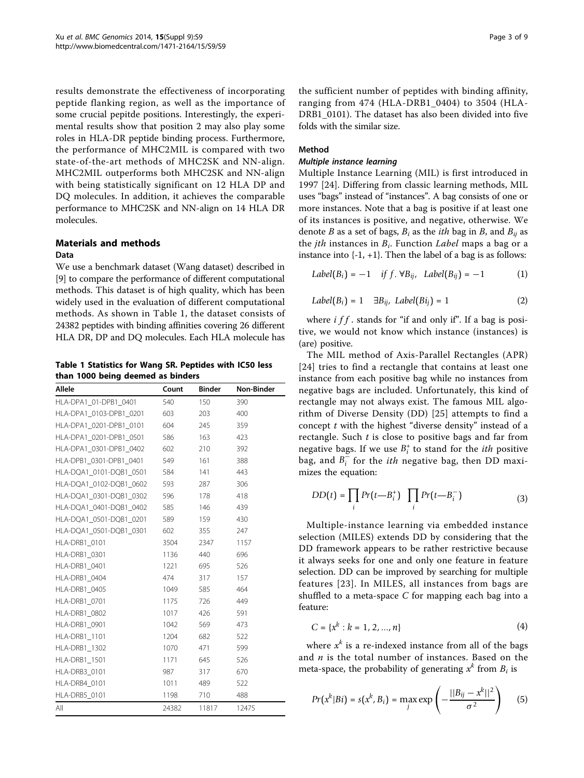results demonstrate the effectiveness of incorporating peptide flanking region, as well as the importance of some crucial pepitde positions. Interestingly, the experimental results show that position 2 may also play some roles in HLA-DR peptide binding process. Furthermore, the performance of MHC2MIL is compared with two state-of-the-art methods of MHC2SK and NN-align. MHC2MIL outperforms both MHC2SK and NN-align with being statistically significant on 12 HLA DP and DQ molecules. In addition, it achieves the comparable performance to MHC2SK and NN-align on 14 HLA DR molecules.

# Materials and methods

#### Data

We use a benchmark dataset (Wang dataset) described in [[9\]](#page-8-0) to compare the performance of different computational methods. This dataset is of high quality, which has been widely used in the evaluation of different computational methods. As shown in Table 1, the dataset consists of 24382 peptides with binding affinities covering 26 different HLA DR, DP and DQ molecules. Each HLA molecule has

Table 1 Statistics for Wang SR. Peptides with IC50 less than 1000 being deemed as binders

| Allele                  | Count | <b>Binder</b> | Non-Binder |
|-------------------------|-------|---------------|------------|
| HLA-DPA1 01-DPB1 0401   | 540   | 150           | 390        |
| HLA-DPA1 0103-DPB1 0201 | 603   | 203           | 400        |
| HLA-DPA1_0201-DPB1_0101 | 604   | 245           | 359        |
| HLA-DPA1 0201-DPB1 0501 | 586   | 163           | 423        |
| HLA-DPA1 0301-DPB1 0402 | 602   | 210           | 392        |
| HLA-DPB1 0301-DPB1 0401 | 549   | 161           | 388        |
| HLA-DQA1 0101-DQB1 0501 | 584   | 141           | 443        |
| HLA-DQA1 0102-DQB1 0602 | 593   | 287           | 306        |
| HLA-DQA1_0301-DQB1_0302 | 596   | 178           | 418        |
| HLA-DQA1 0401-DQB1 0402 | 585   | 146           | 439        |
| HLA-DQA1_0501-DQB1_0201 | 589   | 159           | 430        |
| HLA-DQA1_0501-DQB1_0301 | 602   | 355           | 247        |
| HLA-DRB1 0101           | 3504  | 2347          | 1157       |
| HLA-DRB1 0301           | 1136  | 440           | 696        |
| HLA-DRB1 0401           | 1221  | 695           | 526        |
| HLA-DRB1 0404           | 474   | 317           | 157        |
| HLA-DRB1 0405           | 1049  | 585           | 464        |
| HLA-DRB1_0701           | 1175  | 726           | 449        |
| HLA-DRB1_0802           | 1017  | 426           | 591        |
| HLA-DRB1 0901           | 1042  | 569           | 473        |
| HLA-DRB1 1101           | 1204  | 682           | 522        |
| <b>HLA-DRB1 1302</b>    | 1070  | 471           | 599        |
| HLA-DRB1_1501           | 1171  | 645           | 526        |
| HLA-DRB3 0101           | 987   | 317           | 670        |
| HLA-DRB4 0101           | 1011  | 489           | 522        |
| HLA-DRB5 0101           | 1198  | 710           | 488        |
| All                     | 24382 | 11817         | 12475      |

the sufficient number of peptides with binding affinity, ranging from 474 (HLA-DRB1\_0404) to 3504 (HLA-DRB1\_0101). The dataset has also been divided into five folds with the similar size.

# Method

Multiple instance learning Multiple Instance Learning (MIL) is first introduced in 1997 [[24](#page-8-0)]. Differing from classic learning methods, MIL uses "bags" instead of "instances". A bag consists of one or more instances. Note that a bag is positive if at least one of its instances is positive, and negative, otherwise. We denote B as a set of bags,  $B_i$  as the *ith* bag in B, and  $B_{ii}$  as the *jth* instances in  $B_i$ . Function *Label* maps a bag or a instance into  $\{-1, +1\}$ . Then the label of a bag is as follows:

$$
Label(B_i) = -1 \quad \text{if } f. \forall B_{ij}, \ \ Label(B_{ij}) = -1 \tag{1}
$$

$$
Label(B_i) = 1 \quad \exists B_{ij}, \ Label(Bi_j) = 1 \tag{2}
$$

where  $if f$ . stands for "if and only if". If a bag is positive, we would not know which instance (instances) is (are) positive.

The MIL method of Axis-Parallel Rectangles (APR) [[24](#page-8-0)] tries to find a rectangle that contains at least one instance from each positive bag while no instances from negative bags are included. Unfortunately, this kind of rectangle may not always exist. The famous MIL algorithm of Diverse Density (DD) [[25](#page-8-0)] attempts to find a concept  $t$  with the highest "diverse density" instead of a rectangle. Such  $t$  is close to positive bags and far from negative bags. If we use  $B_i^+$  to stand for the *ith* positive bag, and  $B_i^-$  for the *ith* negative bag, then DD maximizes the equation:

$$
DD(t) = \prod_{i} Pr(t - B_i^+) \prod_{i} Pr(t - B_i^-)
$$
 (3)

Multiple-instance learning via embedded instance selection (MILES) extends DD by considering that the DD framework appears to be rather restrictive because it always seeks for one and only one feature in feature selection. DD can be improved by searching for multiple features [[23\]](#page-8-0). In MILES, all instances from bags are shuffled to a meta-space  $C$  for mapping each bag into a feature:

$$
C = \{x^k : k = 1, 2, ..., n\}
$$
 (4)

where  $x^k$  is a re-indexed instance from all of the bags and  $n$  is the total number of instances. Based on the meta-space, the probability of generating  $x<sup>k</sup>$  from  $B<sub>i</sub>$  is

$$
Pr(x^k|Bi) = s(x^k, B_i) = \max_j \exp\left(-\frac{||B_{ij} - x^k||^2}{\sigma^2}\right) \qquad (5)
$$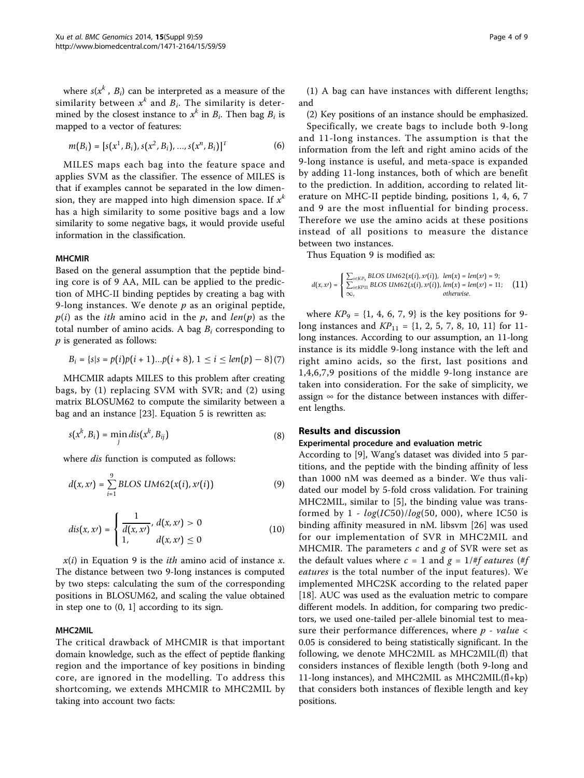where  $s(x^k, B_i)$  can be interpreted as a measure of the similarity between  $x^k$  and  $B_i$ . The similarity is determined by the closest instance to  $x^k$  in  $B_i$ . Then bag  $B_i$  is mapped to a vector of features:

$$
m(B_i) = [s(x^1, B_i), s(x^2, B_i), ..., s(x^n, B_i)]^T
$$
 (6)

MILES maps each bag into the feature space and applies SVM as the classifier. The essence of MILES is that if examples cannot be separated in the low dimension, they are mapped into high dimension space. If  $x<sup>k</sup>$ has a high similarity to some positive bags and a low similarity to some negative bags, it would provide useful information in the classification.

#### **MHCMIR**

Based on the general assumption that the peptide binding core is of 9 AA, MIL can be applied to the prediction of MHC-II binding peptides by creating a bag with 9-long instances. We denote  $p$  as an original peptide,  $p(i)$  as the *ith* amino acid in the p, and *len(p)* as the total number of amino acids. A bag  $B_i$  corresponding to  $p$  is generated as follows:

$$
B_i = \{s | s = p(i)p(i + 1)...p(i + 8), 1 \leq i \leq len(p) - 8\}(7)
$$

MHCMIR adapts MILES to this problem after creating bags, by (1) replacing SVM with SVR; and (2) using matrix BLOSUM62 to compute the similarity between a bag and an instance [\[23\]](#page-8-0). Equation 5 is rewritten as:

$$
s(x^k, B_i) = \min_j dis(x^k, B_{ij})
$$
\n(8)

where *dis* function is computed as follows:

$$
d(x, x') = \sum_{i=1}^{9} BLOS \; UM62(x(i), x'(i))
$$
 (9)

$$
dis(x, x') = \begin{cases} \frac{1}{d(x, x')} & d(x, x') > 0\\ 1, & d(x, x') \le 0 \end{cases}
$$
 (10)

 $x(i)$  in Equation 9 is the *ith* amino acid of instance x. The distance between two 9-long instances is computed by two steps: calculating the sum of the corresponding positions in BLOSUM62, and scaling the value obtained in step one to (0, 1] according to its sign.

# MHC2MIL

The critical drawback of MHCMIR is that important domain knowledge, such as the effect of peptide flanking region and the importance of key positions in binding core, are ignored in the modelling. To address this shortcoming, we extends MHCMIR to MHC2MIL by taking into account two facts:

(1) A bag can have instances with different lengths; and

(2) Key positions of an instance should be emphasized. Specifically, we create bags to include both 9-long and 11-long instances. The assumption is that the information from the left and right amino acids of the 9-long instance is useful, and meta-space is expanded by adding 11-long instances, both of which are benefit to the prediction. In addition, according to related literature on MHC-II peptide binding, positions 1, 4, 6, 7 and 9 are the most influential for binding process. Therefore we use the amino acids at these positions instead of all positions to measure the distance between two instances.

Thus Equation 9 is modified as:

$$
d(x, x') = \begin{cases} \sum_{i \in K P_3} \text{BLOS UMG2}(x(i), x(i)), & len(x) = len(x) = 9; \\ \sum_{i \in K P11} \text{BLOS UMG2}(x(i), x(i)), & len(x) = len(x) = 11; \\ \infty, & otherwise. \end{cases} \tag{11}
$$

where  $KP_9 = \{1, 4, 6, 7, 9\}$  is the key positions for 9long instances and  $KP_{11} = \{1, 2, 5, 7, 8, 10, 11\}$  for 11long instances. According to our assumption, an 11-long instance is its middle 9-long instance with the left and right amino acids, so the first, last positions and 1,4,6,7,9 positions of the middle 9-long instance are taken into consideration. For the sake of simplicity, we assign  $\infty$  for the distance between instances with different lengths.

#### Results and discussion

#### Experimental procedure and evaluation metric

According to [[9\]](#page-8-0), Wang's dataset was divided into 5 partitions, and the peptide with the binding affinity of less than 1000 nM was deemed as a binder. We thus validated our model by 5-fold cross validation. For training MHC2MIL, similar to [\[5](#page-8-0)], the binding value was transformed by  $1 - log(IC50)/log(50, 000)$ , where IC50 is binding affinity measured in nM. libsvm [[26\]](#page-8-0) was used for our implementation of SVR in MHC2MIL and MHCMIR. The parameters  $c$  and  $g$  of SVR were set as the default values where  $c = 1$  and  $g = 1/\#f$  eatures (#f eatures is the total number of the input features). We implemented MHC2SK according to the related paper [[18\]](#page-8-0). AUC was used as the evaluation metric to compare different models. In addition, for comparing two predictors, we used one-tailed per-allele binomial test to measure their performance differences, where  $p$  - value  $\lt$ 0.05 is considered to being statistically significant. In the following, we denote MHC2MIL as MHC2MIL(fl) that considers instances of flexible length (both 9-long and 11-long instances), and MHC2MIL as MHC2MIL(fl+kp) that considers both instances of flexible length and key positions.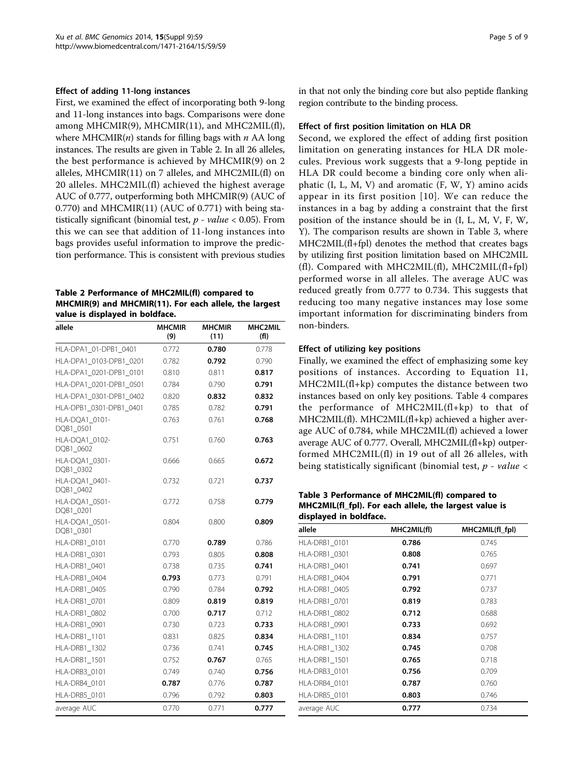# Effect of adding 11-long instances

First, we examined the effect of incorporating both 9-long and 11-long instances into bags. Comparisons were done among MHCMIR(9), MHCMIR(11), and MHC2MIL(fl), where  $MHCMIR(n)$  stands for filling bags with  $n$  AA long instances. The results are given in Table 2. In all 26 alleles, the best performance is achieved by MHCMIR(9) on 2 alleles, MHCMIR(11) on 7 alleles, and MHC2MIL(fl) on 20 alleles. MHC2MIL(fl) achieved the highest average AUC of 0.777, outperforming both MHCMIR(9) (AUC of 0.770) and MHCMIR(11) (AUC of 0.771) with being statistically significant (binomial test,  $p$  - value < 0.05). From this we can see that addition of 11-long instances into bags provides useful information to improve the prediction performance. This is consistent with previous studies

Table 2 Performance of MHC2MIL(fl) compared to MHCMIR(9) and MHCMIR(11). For each allele, the largest value is displayed in boldface.

| allele                      | <b>MHCMIR</b><br>(9) | <b>MHCMIR</b><br>(11) | MHC2MIL<br>(fI) |
|-----------------------------|----------------------|-----------------------|-----------------|
| HLA-DPA1_01-DPB1_0401       | 0.772                | 0.780                 | 0.778           |
| HLA-DPA1 0103-DPB1 0201     | 0.782                | 0.792                 | 0.790           |
| HLA-DPA1 0201-DPB1 0101     | 0.810                | 0.811                 | 0.817           |
| HLA-DPA1_0201-DPB1_0501     | 0.784                | 0.790                 | 0.791           |
| HLA-DPA1_0301-DPB1_0402     | 0.820                | 0.832                 | 0.832           |
| HLA-DPB1_0301-DPB1_0401     | 0.785                | 0.782                 | 0.791           |
| HLA-DQA1_0101-<br>DQB1 0501 | 0.763                | 0.761                 | 0.768           |
| HLA-DQA1_0102-<br>DQB1_0602 | 0.751                | 0.760                 | 0.763           |
| HLA-DQA1_0301-<br>DQB1_0302 | 0.666                | 0.665                 | 0.672           |
| HLA-DQA1 0401-<br>DQB1_0402 | 0.732                | 0.721                 | 0.737           |
| HLA-DQA1_0501-<br>DQB1_0201 | 0.772                | 0.758                 | 0.779           |
| HLA-DQA1_0501-<br>DQB1_0301 | 0.804                | 0.800                 | 0.809           |
| HLA-DRB1_0101               | 0.770                | 0.789                 | 0.786           |
| HLA-DRB1 0301               | 0.793                | 0.805                 | 0.808           |
| HLA-DRB1 0401               | 0.738                | 0.735                 | 0.741           |
| HLA-DRB1 0404               | 0.793                | 0.773                 | 0.791           |
| HLA-DRB1_0405               | 0.790                | 0.784                 | 0.792           |
| HLA-DRB1_0701               | 0.809                | 0.819                 | 0.819           |
| <b>HLA-DRB1 0802</b>        | 0.700                | 0.717                 | 0.712           |
| HLA-DRB1_0901               | 0.730                | 0.723                 | 0.733           |
| HLA-DRB1_1101               | 0.831                | 0.825                 | 0.834           |
| HLA-DRB1_1302               | 0.736                | 0.741                 | 0.745           |
| <b>HLA-DRB1 1501</b>        | 0.752                | 0.767                 | 0.765           |
| HLA-DRB3_0101               | 0.749                | 0.740                 | 0.756           |
| HLA-DRB4_0101               | 0.787                | 0.776                 | 0.787           |
| HLA-DRB5_0101               | 0.796                | 0.792                 | 0.803           |
| average AUC                 | 0.770                | 0.771                 | 0.777           |

in that not only the binding core but also peptide flanking region contribute to the binding process.

# Effect of first position limitation on HLA DR

Second, we explored the effect of adding first position limitation on generating instances for HLA DR molecules. Previous work suggests that a 9-long peptide in HLA DR could become a binding core only when aliphatic (I, L, M, V) and aromatic (F, W, Y) amino acids appear in its first position [[10\]](#page-8-0). We can reduce the instances in a bag by adding a constraint that the first position of the instance should be in (I, L, M, V, F, W, Y). The comparison results are shown in Table 3, where MHC2MIL(fl+fpl) denotes the method that creates bags by utilizing first position limitation based on MHC2MIL (fl). Compared with MHC2MIL(fl), MHC2MIL(fl+fpl) performed worse in all alleles. The average AUC was reduced greatly from 0.777 to 0.734. This suggests that reducing too many negative instances may lose some important information for discriminating binders from non-binders.

# Effect of utilizing key positions

Finally, we examined the effect of emphasizing some key positions of instances. According to Equation 11, MHC2MIL(fl+kp) computes the distance between two instances based on only key positions. Table [4](#page-5-0) compares the performance of MHC2MIL(fl+kp) to that of MHC2MIL(fl). MHC2MIL(fl+kp) achieved a higher average AUC of 0.784, while MHC2MIL(fl) achieved a lower average AUC of 0.777. Overall, MHC2MIL(fl+kp) outperformed MHC2MIL(fl) in 19 out of all 26 alleles, with being statistically significant (binomial test,  $p$  - value <

# Table 3 Performance of MHC2MIL(fl) compared to MHC2MIL(fl\_fpl). For each allele, the largest value is displayed in boldface.

| allele               | MHC2MIL(fl) | MHC2MIL(fl_fpl) |
|----------------------|-------------|-----------------|
| HLA-DRB1_0101        | 0.786       | 0.745           |
| HLA-DRB1 0301        | 0.808       | 0.765           |
| HLA-DRB1_0401        | 0.741       | 0.697           |
| HLA-DRB1 0404        | 0.791       | 0.771           |
| <b>HLA-DRB1 0405</b> | 0.792       | 0.737           |
| HLA-DRB1 0701        | 0.819       | 0.783           |
| HLA-DRB1 0802        | 0.712       | 0.688           |
| HLA-DRB1 0901        | 0.733       | 0.692           |
| HLA-DRB1_1101        | 0.834       | 0.757           |
| <b>HLA-DRB1 1302</b> | 0.745       | 0.708           |
| <b>HLA-DRB1 1501</b> | 0.765       | 0.718           |
| HLA-DRB3_0101        | 0.756       | 0.709           |
| HLA-DRB4 0101        | 0.787       | 0.760           |
| HLA-DRB5_0101        | 0.803       | 0.746           |
| average AUC          | 0.777       | 0.734           |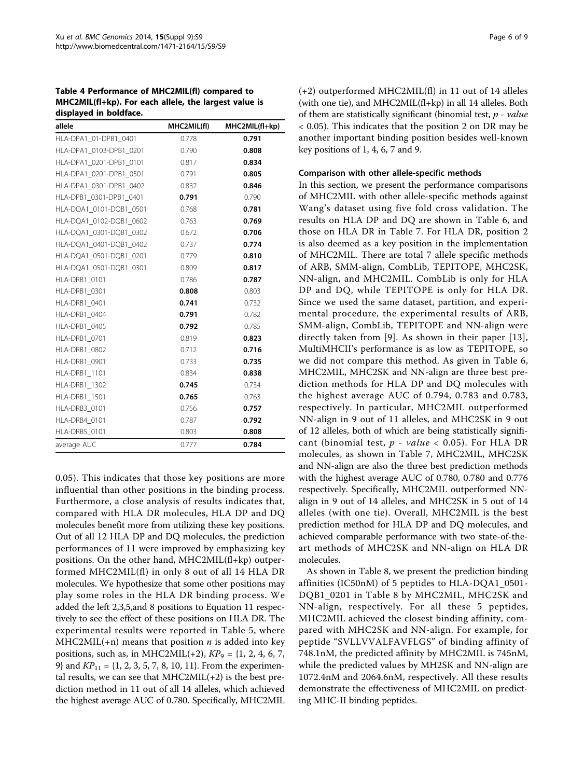<span id="page-5-0"></span>Table 4 Performance of MHC2MIL(fl) compared to MHC2MIL(fl+kp). For each allele, the largest value is displayed in boldface.

| allele                  | MHC2MIL(fl) | MHC2MIL(fl+kp) |
|-------------------------|-------------|----------------|
| HLA-DPA1 01-DPB1 0401   | 0.778       | 0.791          |
| HLA-DPA1 0103-DPB1 0201 | 0.790       | 0.808          |
| HLA-DPA1_0201-DPB1_0101 | 0.817       | 0.834          |
| HLA-DPA1 0201-DPB1 0501 | 0.791       | 0.805          |
| HLA-DPA1 0301-DPB1 0402 | 0.832       | 0.846          |
| HLA-DPB1 0301-DPB1 0401 | 0.791       | 0.790          |
| HLA-DQA1 0101-DQB1 0501 | 0.768       | 0.781          |
| HLA-DQA1 0102-DQB1 0602 | 0.763       | 0.769          |
| HLA-DQA1_0301-DQB1_0302 | 0.672       | 0.706          |
| HLA-DQA1_0401-DQB1_0402 | 0.737       | 0.774          |
| HLA-DQA1_0501-DQB1_0201 | 0.779       | 0.810          |
| HLA-DQA1 0501-DQB1 0301 | 0.809       | 0.817          |
| HLA-DRB1 0101           | 0.786       | 0.787          |
| HLA-DRB1 0301           | 0.808       | 0.803          |
| HLA-DRB1 0401           | 0.741       | 0.732          |
| HLA-DRB1 0404           | 0.791       | 0.782          |
| HLA-DRB1 0405           | 0.792       | 0.785          |
| HLA-DRB1_0701           | 0.819       | 0.823          |
| HLA-DRB1_0802           | 0.712       | 0.716          |
| HLA-DRB1 0901           | 0.733       | 0.735          |
| HLA-DRB1_1101           | 0.834       | 0.838          |
| HLA-DRB1_1302           | 0.745       | 0.734          |
| HLA-DRB1 1501           | 0.765       | 0.763          |
| HLA-DRB3 0101           | 0.756       | 0.757          |
| HLA-DRB4 0101           | 0.787       | 0.792          |
| HLA-DRB5_0101           | 0.803       | 0.808          |
| average AUC             | 0.777       | 0.784          |

0.05). This indicates that those key positions are more influential than other positions in the binding process. Furthermore, a close analysis of results indicates that, compared with HLA DR molecules, HLA DP and DQ molecules benefit more from utilizing these key positions. Out of all 12 HLA DP and DQ molecules, the prediction performances of 11 were improved by emphasizing key positions. On the other hand, MHC2MIL(fl+kp) outperformed MHC2MIL(fl) in only 8 out of all 14 HLA DR molecules. We hypothesize that some other positions may play some roles in the HLA DR binding process. We added the left 2,3,5,and 8 positions to Equation 11 respectively to see the effect of these positions on HLA DR. The experimental results were reported in Table [5,](#page-6-0) where  $MHC2MIL(+n)$  means that position *n* is added into key positions, such as, in MHC2MIL(+2),  $KP_9 = \{1, 2, 4, 6, 7,$ 9} and  $KP_{11} = \{1, 2, 3, 5, 7, 8, 10, 11\}$ . From the experimental results, we can see that  $MHC2MIL(+2)$  is the best prediction method in 11 out of all 14 alleles, which achieved the highest average AUC of 0.780. Specifically, MHC2MIL (+2) outperformed MHC2MIL(fl) in 11 out of 14 alleles (with one tie), and MHC2MIL(fl+kp) in all 14 alleles. Both of them are statistically significant (binomial test,  $p$  - value < 0.05). This indicates that the position 2 on DR may be another important binding position besides well-known key positions of 1, 4, 6, 7 and 9.

#### Comparison with other allele-specific methods

In this section, we present the performance comparisons of MHC2MIL with other allele-specific methods against Wang's dataset using five fold cross validation. The results on HLA DP and DQ are shown in Table [6,](#page-6-0) and those on HLA DR in Table [7.](#page-6-0) For HLA DR, position 2 is also deemed as a key position in the implementation of MHC2MIL. There are total 7 allele specific methods of ARB, SMM-align, CombLib, TEPITOPE, MHC2SK, NN-align, and MHC2MIL. CombLib is only for HLA DP and DQ, while TEPITOPE is only for HLA DR. Since we used the same dataset, partition, and experimental procedure, the experimental results of ARB, SMM-align, CombLib, TEPITOPE and NN-align were directly taken from [\[9](#page-8-0)]. As shown in their paper [[13\]](#page-8-0), MultiMHCII's performance is as low as TEPITOPE, so we did not compare this method. As given in Table [6](#page-6-0), MHC2MIL, MHC2SK and NN-align are three best prediction methods for HLA DP and DQ molecules with the highest average AUC of 0.794, 0.783 and 0.783, respectively. In particular, MHC2MIL outperformed NN-align in 9 out of 11 alleles, and MHC2SK in 9 out of 12 alleles, both of which are being statistically significant (binomial test,  $p$  - value < 0.05). For HLA DR molecules, as shown in Table [7](#page-6-0), MHC2MIL, MHC2SK and NN-align are also the three best prediction methods with the highest average AUC of 0.780, 0.780 and 0.776 respectively. Specifically, MHC2MIL outperformed NNalign in 9 out of 14 alleles, and MHC2SK in 5 out of 14 alleles (with one tie). Overall, MHC2MIL is the best prediction method for HLA DP and DQ molecules, and achieved comparable performance with two state-of-theart methods of MHC2SK and NN-align on HLA DR molecules.

As shown in Table [8](#page-7-0), we present the prediction binding affinities (IC50nM) of 5 peptides to HLA-DQA1\_0501- DQB1\_0201 in Table [8](#page-7-0) by MHC2MIL, MHC2SK and NN-align, respectively. For all these 5 peptides, MHC2MIL achieved the closest binding affinity, compared with MHC2SK and NN-align. For example, for peptide "SVLLVVALFAVFLGS" of binding affinity of 748.1nM, the predicted affinity by MHC2MIL is 745nM, while the predicted values by MH2SK and NN-align are 1072.4nM and 2064.6nM, respectively. All these results demonstrate the effectiveness of MHC2MIL on predicting MHC-II binding peptides.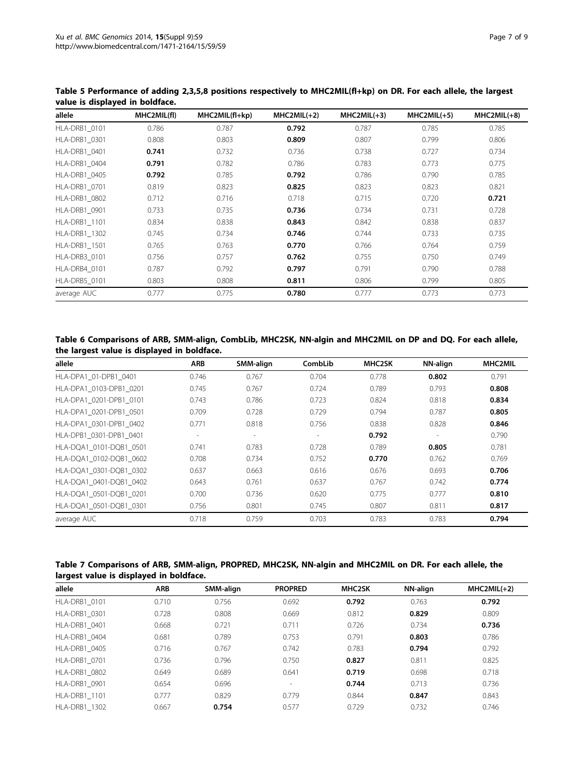| allele               | MHC2MIL(fl) | MHC2MIL(fl+kp) | $MHC2MIL(+2)$ | $MHC2MIL(+3)$ | $MHC2MIL(+5)$ | $MHC2MIL(+8)$ |
|----------------------|-------------|----------------|---------------|---------------|---------------|---------------|
| HLA-DRB1 0101        | 0.786       | 0.787          | 0.792         | 0.787         | 0.785         | 0.785         |
| <b>HLA-DRB1 0301</b> | 0.808       | 0.803          | 0.809         | 0.807         | 0.799         | 0.806         |
| <b>HLA-DRB1 0401</b> | 0.741       | 0.732          | 0.736         | 0.738         | 0.727         | 0.734         |
| HLA-DRB1 0404        | 0.791       | 0.782          | 0.786         | 0.783         | 0.773         | 0.775         |
| <b>HLA-DRB1 0405</b> | 0.792       | 0.785          | 0.792         | 0.786         | 0.790         | 0.785         |
| <b>HLA-DRB1 0701</b> | 0.819       | 0.823          | 0.825         | 0.823         | 0.823         | 0.821         |
| <b>HLA-DRB1 0802</b> | 0.712       | 0.716          | 0.718         | 0.715         | 0.720         | 0.721         |
| HLA-DRB1 0901        | 0.733       | 0.735          | 0.736         | 0.734         | 0.731         | 0.728         |
| <b>HLA-DRB1 1101</b> | 0.834       | 0.838          | 0.843         | 0.842         | 0.838         | 0.837         |
| <b>HLA-DRB1 1302</b> | 0.745       | 0.734          | 0.746         | 0.744         | 0.733         | 0.735         |
| <b>HLA-DRB1 1501</b> | 0.765       | 0.763          | 0.770         | 0.766         | 0.764         | 0.759         |
| HLA-DRB3 0101        | 0.756       | 0.757          | 0.762         | 0.755         | 0.750         | 0.749         |
| HLA-DRB4 0101        | 0.787       | 0.792          | 0.797         | 0.791         | 0.790         | 0.788         |
| HLA-DRB5 0101        | 0.803       | 0.808          | 0.811         | 0.806         | 0.799         | 0.805         |
| average AUC          | 0.777       | 0.775          | 0.780         | 0.777         | 0.773         | 0.773         |

<span id="page-6-0"></span>Table 5 Performance of adding 2,3,5,8 positions respectively to MHC2MIL(fl+kp) on DR. For each allele, the largest value is displayed in boldface.

# Table 6 Comparisons of ARB, SMM-align, CombLib, MHC2SK, NN-algin and MHC2MIL on DP and DQ. For each allele, the largest value is displayed in boldface.

| allele                  | <b>ARB</b>     | SMM-align      | CombLib                  | <b>MHC2SK</b> | NN-align                 | MHC2MIL |
|-------------------------|----------------|----------------|--------------------------|---------------|--------------------------|---------|
| HLA-DPA1 01-DPB1 0401   | 0.746          | 0.767          | 0.704                    | 0.778         | 0.802                    | 0.791   |
| HLA-DPA1 0103-DPB1 0201 | 0.745          | 0.767          | 0.724                    | 0.789         | 0.793                    | 0.808   |
| HLA-DPA1 0201-DPB1 0101 | 0.743          | 0.786          | 0.723                    | 0.824         | 0.818                    | 0.834   |
| HLA-DPA1 0201-DPB1 0501 | 0.709          | 0.728          | 0.729                    | 0.794         | 0.787                    | 0.805   |
| HLA-DPA1 0301-DPB1 0402 | 0.771          | 0.818          | 0.756                    | 0.838         | 0.828                    | 0.846   |
| HLA-DPB1 0301-DPB1 0401 | $\overline{a}$ | $\overline{a}$ | $\overline{\phantom{a}}$ | 0.792         | $\overline{\phantom{a}}$ | 0.790   |
| HLA-DQA1 0101-DQB1 0501 | 0.741          | 0.783          | 0.728                    | 0.789         | 0.805                    | 0.781   |
| HLA-DQA1 0102-DQB1 0602 | 0.708          | 0.734          | 0.752                    | 0.770         | 0.762                    | 0.769   |
| HLA-DOA1 0301-DOB1 0302 | 0.637          | 0.663          | 0.616                    | 0.676         | 0.693                    | 0.706   |
| HLA-DOA1 0401-DOB1 0402 | 0.643          | 0.761          | 0.637                    | 0.767         | 0.742                    | 0.774   |
| HLA-DQA1 0501-DQB1 0201 | 0.700          | 0.736          | 0.620                    | 0.775         | 0.777                    | 0.810   |
| HLA-DQA1 0501-DQB1 0301 | 0.756          | 0.801          | 0.745                    | 0.807         | 0.811                    | 0.817   |
| average AUC             | 0.718          | 0.759          | 0.703                    | 0.783         | 0.783                    | 0.794   |

| Table 7 Comparisons of ARB, SMM-align, PROPRED, MHC2SK, NN-algin and MHC2MIL on DR. For each allele, the |  |  |
|----------------------------------------------------------------------------------------------------------|--|--|
| largest value is displayed in boldface.                                                                  |  |  |

| allele               | <b>ARB</b> | SMM-align | <b>PROPRED</b>           | <b>MHC2SK</b> | NN-align | $MHC2MIL(+2)$ |
|----------------------|------------|-----------|--------------------------|---------------|----------|---------------|
| HLA-DRB1 0101        | 0.710      | 0.756     | 0.692                    | 0.792         | 0.763    | 0.792         |
| <b>HLA-DRB1 0301</b> | 0.728      | 0.808     | 0.669                    | 0.812         | 0.829    | 0.809         |
| HLA-DRB1 0401        | 0.668      | 0.721     | 0.711                    | 0.726         | 0.734    | 0.736         |
| HLA-DRB1 0404        | 0.681      | 0.789     | 0.753                    | 0.791         | 0.803    | 0.786         |
| <b>HLA-DRB1 0405</b> | 0.716      | 0.767     | 0.742                    | 0.783         | 0.794    | 0.792         |
| <b>HLA-DRB1 0701</b> | 0.736      | 0.796     | 0.750                    | 0.827         | 0.811    | 0.825         |
| HLA-DRB1 0802        | 0.649      | 0.689     | 0.641                    | 0.719         | 0.698    | 0.718         |
| HLA-DRB1 0901        | 0.654      | 0.696     | $\overline{\phantom{a}}$ | 0.744         | 0.713    | 0.736         |
| <b>HLA-DRB1 1101</b> | 0.777      | 0.829     | 0.779                    | 0.844         | 0.847    | 0.843         |
| <b>HLA-DRB1 1302</b> | 0.667      | 0.754     | 0.577                    | 0.729         | 0.732    | 0.746         |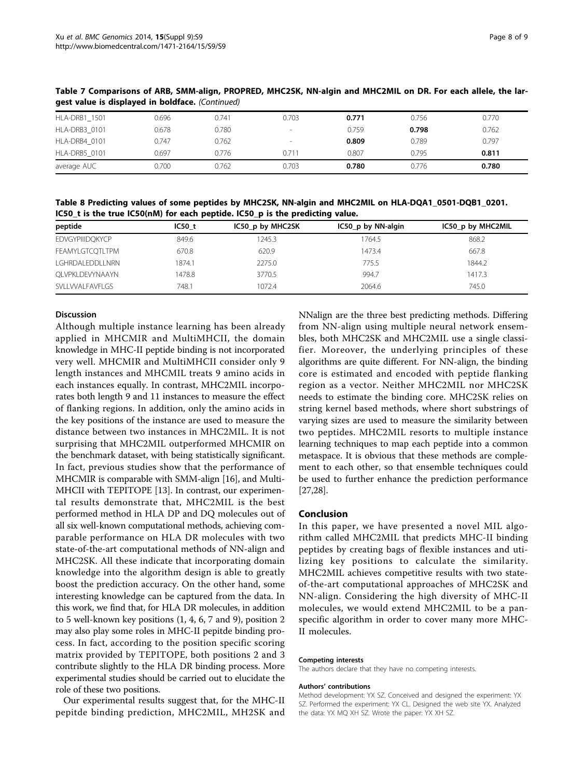| __                   | .     |       |                          |       |       |       |
|----------------------|-------|-------|--------------------------|-------|-------|-------|
| <b>HLA-DRB1 1501</b> | 0.696 | 0.741 | 0.703                    | 0.771 | 0.756 | 0.770 |
| HLA-DRB3 0101        | 0.678 | 0.780 | $\overline{\phantom{a}}$ | 0.759 | 0.798 | 0.762 |
| HLA-DRB4 0101        | 0.747 | 0.762 | $\overline{\phantom{a}}$ | 0.809 | 0.789 | 0.797 |
| HLA-DRB5 0101        | 0.697 | 0.776 | 0.711                    | 0.807 | 0.795 | 0.811 |
| average AUC          | 0.700 | 0.762 | 0.703                    | 0.780 | 0.776 | 0.780 |

<span id="page-7-0"></span>Table 7 Comparisons of ARB, SMM-align, PROPRED, MHC2SK, NN-algin and MHC2MIL on DR. For each allele, the largest value is displayed in boldface. (Continued)

Table 8 Predicting values of some peptides by MHC2SK, NN-algin and MHC2MIL on HLA-DQA1\_0501-DQB1\_0201. IC50\_t is the true IC50(nM) for each peptide. IC50\_p is the predicting value.

| peptide                | IC50t  | IC50 p by MHC2SK | IC50_p by NN-algin | IC50 p by MHC2MIL |
|------------------------|--------|------------------|--------------------|-------------------|
| <b>EDVGYPIIIDQKYCP</b> | 849.6  | 1245.3           | 764.5              | 868.2             |
| FEAMYLGTCOTLTPM        | 670.8  | 620.9            | 1473.4             | 667.8             |
| LGHRDALEDDLLNRN        | 1874.1 | 2275.0           | 775.5              | 1844.2            |
| OLVPKLDEVYNAAYN        | 1478.8 | 3770.5           | 994.7              | 1417.3            |
| SVLLVVALFAVFLGS        | 748.1  | 1072.4           | 2064.6             | 745.0             |

# Discussion

Although multiple instance learning has been already applied in MHCMIR and MultiMHCII, the domain knowledge in MHC-II peptide binding is not incorporated very well. MHCMIR and MultiMHCII consider only 9 length instances and MHCMIL treats 9 amino acids in each instances equally. In contrast, MHC2MIL incorporates both length 9 and 11 instances to measure the effect of flanking regions. In addition, only the amino acids in the key positions of the instance are used to measure the distance between two instances in MHC2MIL. It is not surprising that MHC2MIL outperformed MHCMIR on the benchmark dataset, with being statistically significant. In fact, previous studies show that the performance of MHCMIR is comparable with SMM-align [[16](#page-8-0)], and Multi-MHCII with TEPITOPE [\[13\]](#page-8-0). In contrast, our experimental results demonstrate that, MHC2MIL is the best performed method in HLA DP and DQ molecules out of all six well-known computational methods, achieving comparable performance on HLA DR molecules with two state-of-the-art computational methods of NN-align and MHC2SK. All these indicate that incorporating domain knowledge into the algorithm design is able to greatly boost the prediction accuracy. On the other hand, some interesting knowledge can be captured from the data. In this work, we find that, for HLA DR molecules, in addition to 5 well-known key positions (1, 4, 6, 7 and 9), position 2 may also play some roles in MHC-II pepitde binding process. In fact, according to the position specific scoring matrix provided by TEPITOPE, both positions 2 and 3 contribute slightly to the HLA DR binding process. More experimental studies should be carried out to elucidate the role of these two positions.

Our experimental results suggest that, for the MHC-II pepitde binding prediction, MHC2MIL, MH2SK and NNalign are the three best predicting methods. Differing from NN-align using multiple neural network ensembles, both MHC2SK and MHC2MIL use a single classifier. Moreover, the underlying principles of these algorithms are quite different. For NN-align, the binding core is estimated and encoded with peptide flanking region as a vector. Neither MHC2MIL nor MHC2SK needs to estimate the binding core. MHC2SK relies on string kernel based methods, where short substrings of varying sizes are used to measure the similarity between two peptides. MHC2MIL resorts to multiple instance learning techniques to map each peptide into a common metaspace. It is obvious that these methods are complement to each other, so that ensemble techniques could be used to further enhance the prediction performance [[27,28\]](#page-8-0).

#### Conclusion

In this paper, we have presented a novel MIL algorithm called MHC2MIL that predicts MHC-II binding peptides by creating bags of flexible instances and utilizing key positions to calculate the similarity. MHC2MIL achieves competitive results with two stateof-the-art computational approaches of MHC2SK and NN-align. Considering the high diversity of MHC-II molecules, we would extend MHC2MIL to be a panspecific algorithm in order to cover many more MHC-II molecules.

#### Competing interests

The authors declare that they have no competing interests.

#### Authors' contributions

Method development: YX SZ. Conceived and designed the experiment: YX SZ. Performed the experiment: YX CL. Designed the web site YX. Analyzed the data: YX MQ XH SZ. Wrote the paper: YX XH SZ.